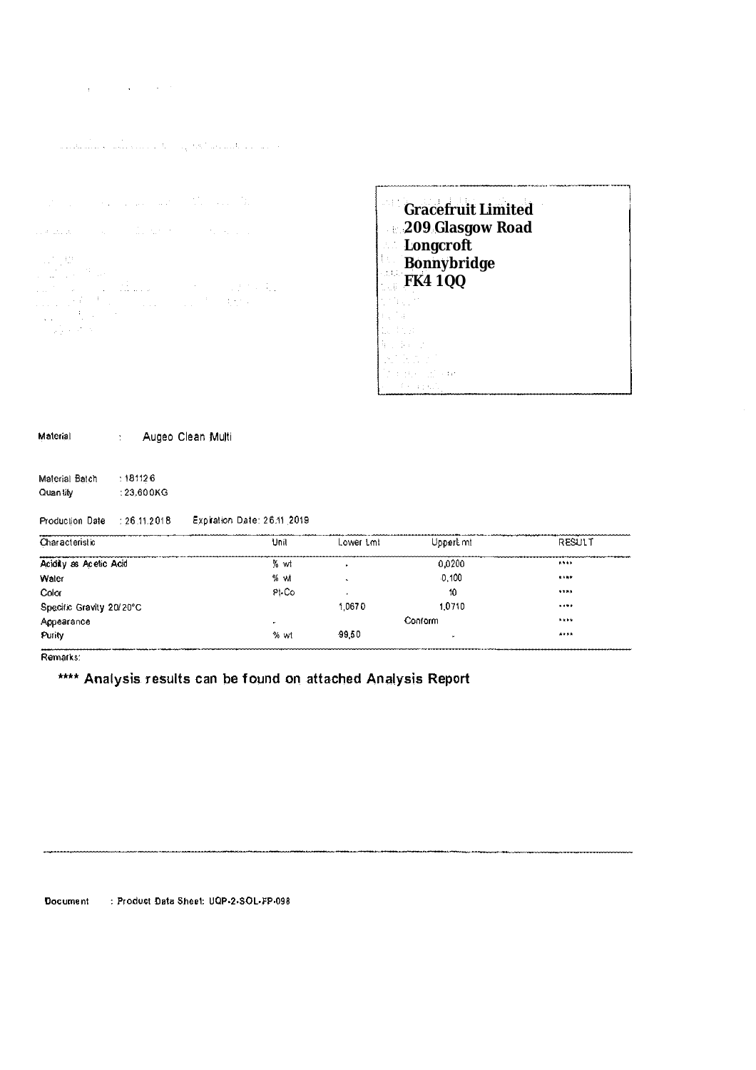| the company of the second state of the com- |  |  |
|---------------------------------------------|--|--|
|                                             |  |  |

الجامعا فكالمستقبلة فالهام والمناكل والمتحدث وأعقار والمأوسا والمتحدث

```
\mathcal{A}^{\mathcal{A}} , i.e., we can assume that \mathcal{A}^{\mathcal{A}} , and \mathcal{A}. It is defined by \mathcal{L}_{\mathcal{M}} , where \mathcal{L}_{\mathcal{M}} is the following function of
\begin{array}{l} \mathbb{E} \left[ \begin{array}{cc} \mathbf{0} & \mathbf{0} \\ \mathbf{1} & \mathbf{1} \end{array} \right] & \mathbf{0} & \mathbf{0} \\ \mathbb{E} \left[ \begin{array}{cc} \mathbf{1} & \mathbf{0} \\ \mathbf{1} & \mathbf{1} \end{array} \right] & \mathbb{E} \left[ \begin{array}{cc} \mathbf{0} & \mathbf{0} \\ \mathbf{0} & \mathbf{1} \end{array} \right] & \mathbb{E} \left[ \begin{array}{cc} \mathbf{0} & \mathbf{0} \\ \mathbf{0} & \mathbf{1}
```

| <b>Gracefruit Limited</b><br>209 Glasgow Road<br>Longcroft |  |
|------------------------------------------------------------|--|
| Bonnybridge                                                |  |
| FK4 1QQ                                                    |  |
|                                                            |  |
|                                                            |  |
|                                                            |  |
|                                                            |  |
|                                                            |  |
|                                                            |  |
|                                                            |  |
|                                                            |  |

| <b>Malerial</b> | Augeo Clean Multi |
|-----------------|-------------------|
|                 |                   |

**Malerial Batch**  : 181126 **Quan lily**  : 23.600KG

## **Production Date : 26.11.2018 Expiration Date: 26.11 2019**

| Characteristic           | Unit         | Lower Lml | UpperLmt | <b>RESULT</b> |
|--------------------------|--------------|-----------|----------|---------------|
| Acidity as Acetic Acid   | % wt         |           | 0.0200   | 1.111         |
| Water                    | % wt         |           | 0.100    | $8 + 6 +$     |
| Color                    | PI-Co        |           | 10       | ****          |
| Specific Gravity 20/20°C |              | 1.0670    | 1.0710   | 1.111         |
| Appearance               | $\mathbf{u}$ | Conform   |          | <b>NEWS</b>   |
| Purity                   | % wt         | 99.50     |          | ****          |

**Remarks:** 

•••• Analysis results can be found on attached Analysis Report

**Document : Product Data Sheet: UQP·2·SOL·FP·098**